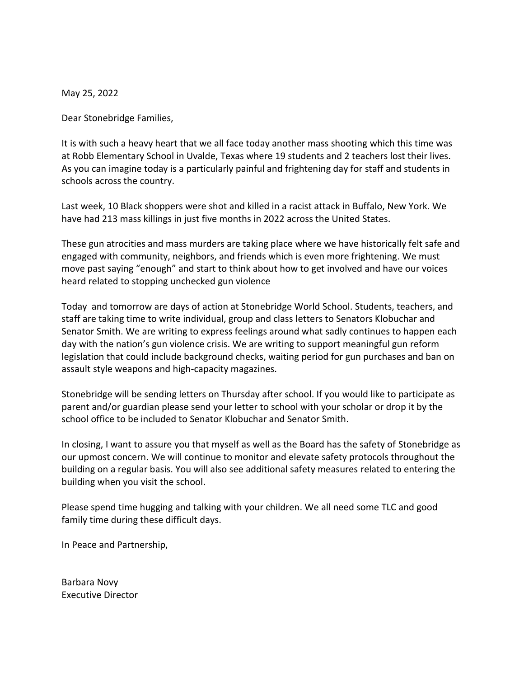May 25, 2022

Dear Stonebridge Families,

It is with such a heavy heart that we all face today another mass shooting which this time was at Robb Elementary School in Uvalde, Texas where 19 students and 2 teachers lost their lives. As you can imagine today is a particularly painful and frightening day for staff and students in schools across the country.

Last week, 10 Black shoppers were shot and killed in a racist attack in Buffalo, New York. We have had 213 mass killings in just five months in 2022 across the United States.

These gun atrocities and mass murders are taking place where we have historically felt safe and engaged with community, neighbors, and friends which is even more frightening. We must move past saying "enough" and start to think about how to get involved and have our voices heard related to stopping unchecked gun violence

Today and tomorrow are days of action at Stonebridge World School. Students, teachers, and staff are taking time to write individual, group and class letters to Senators Klobuchar and Senator Smith. We are writing to express feelings around what sadly continues to happen each day with the nation's gun violence crisis. We are writing to support meaningful gun reform legislation that could include background checks, waiting period for gun purchases and ban on assault style weapons and high-capacity magazines.

Stonebridge will be sending letters on Thursday after school. If you would like to participate as parent and/or guardian please send your letter to school with your scholar or drop it by the school office to be included to Senator Klobuchar and Senator Smith.

In closing, I want to assure you that myself as well as the Board has the safety of Stonebridge as our upmost concern. We will continue to monitor and elevate safety protocols throughout the building on a regular basis. You will also see additional safety measures related to entering the building when you visit the school.

Please spend time hugging and talking with your children. We all need some TLC and good family time during these difficult days.

In Peace and Partnership,

Barbara Novy Executive Director